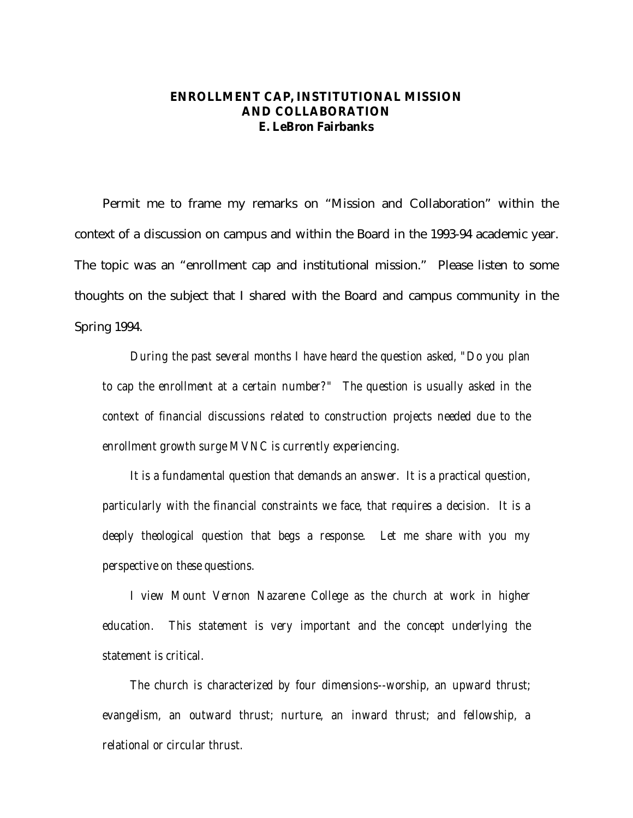## **ENROLLMENT CAP, INSTITUTIONAL MISSION AND COLLABORATION E. LeBron Fairbanks**

Permit me to frame my remarks on "Mission and Collaboration" within the context of a discussion on campus and within the Board in the 1993-94 academic year. The topic was an "enrollment cap and institutional mission." Please listen to some thoughts on the subject that I shared with the Board and campus community in the Spring 1994.

*During the past several months I have heard the question asked, "Do you plan to cap the enrollment at a certain number?" The question is usually asked in the context of financial discussions related to construction projects needed due to the enrollment growth surge MVNC is currently experiencing.*

*It is a fundamental question that demands an answer. It is a practical question, particularly with the financial constraints we face, that requires a decision. It is a deeply theological question that begs a response. Let me share with you my perspective on these questions.*

*I view Mount Vernon Nazarene College as the church at work in higher education. This statement is very important and the concept underlying the statement is critical.*

*The church is characterized by four dimensions--worship, an upward thrust; evangelism, an outward thrust; nurture, an inward thrust; and fellowship, a relational or circular thrust.*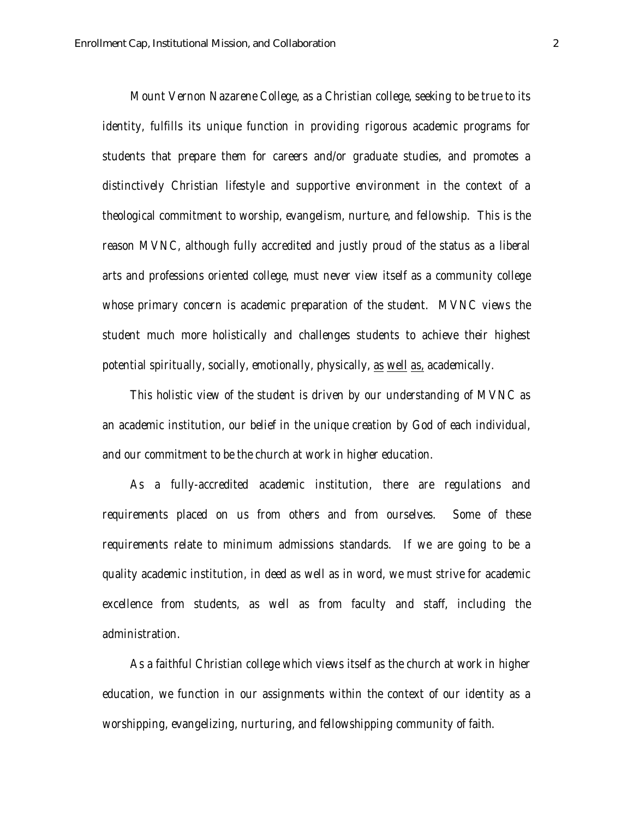*Mount Vernon Nazarene College, as a Christian college, seeking to be true to its identity, fulfills its unique function in providing rigorous academic programs for students that prepare them for careers and/or graduate studies, and promotes a distinctively Christian lifestyle and supportive environment in the context of a theological commitment to worship, evangelism, nurture, and fellowship. This is the reason MVNC, although fully accredited and justly proud of the status as a liberal arts and professions oriented college, must never view itself as a community college whose primary concern is academic preparation of the student. MVNC views the student much more holistically and challenges students to achieve their highest potential spiritually, socially, emotionally, physically, as well as, academically.*

*This holistic view of the student is driven by our understanding of MVNC as an academic institution, our belief in the unique creation by God of each individual, and our commitment to be the church at work in higher education.*

*As a fully-accredited academic institution, there are regulations and requirements placed on us from others and from ourselves. Some of these requirements relate to minimum admissions standards. If we are going to be a quality academic institution, in deed as well as in word, we must strive for academic excellence from students, as well as from faculty and staff, including the administration.*

*As a faithful Christian college which views itself as the church at work in higher education, we function in our assignments within the context of our identity as a worshipping, evangelizing, nurturing, and fellowshipping community of faith.*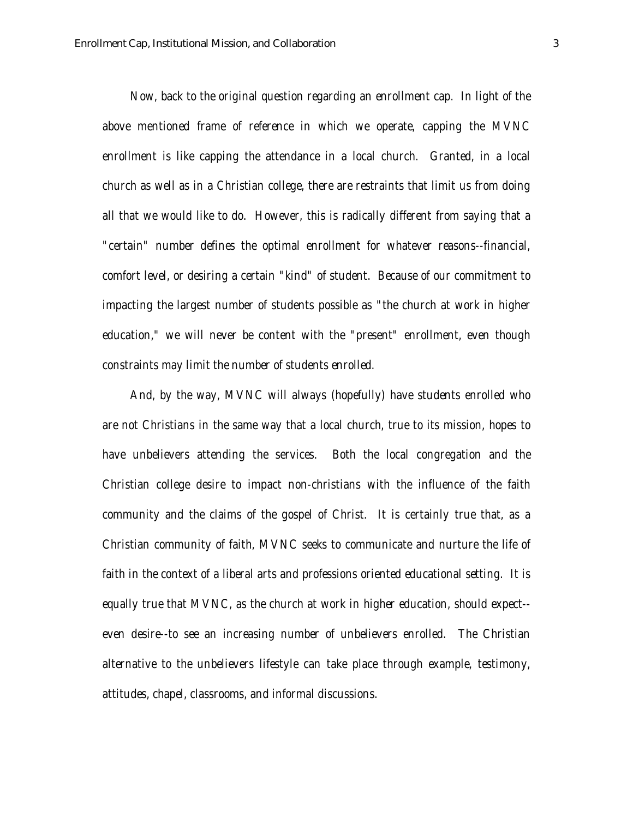*Now, back to the original question regarding an enrollment cap. In light of the above mentioned frame of reference in which we operate, capping the MVNC enrollment is like capping the attendance in a local church. Granted, in a local church as well as in a Christian college, there are restraints that limit us from doing all that we would like to do. However, this is radically different from saying that a "certain" number defines the optimal enrollment for whatever reasons--financial, comfort level, or desiring a certain "kind" of student. Because of our commitment to impacting the largest number of students possible as "the church at work in higher education," we will never be content with the "present" enrollment, even though constraints may limit the number of students enrolled.*

*And, by the way, MVNC will always (hopefully) have students enrolled who are not Christians in the same way that a local church, true to its mission, hopes to have unbelievers attending the services. Both the local congregation and the Christian college desire to impact non-christians with the influence of the faith community and the claims of the gospel of Christ. It is certainly true that, as a Christian community of faith, MVNC seeks to communicate and nurture the life of faith in the context of a liberal arts and professions oriented educational setting. It is equally true that MVNC, as the church at work in higher education, should expect- even desire--to see an increasing number of unbelievers enrolled. The Christian alternative to the unbelievers lifestyle can take place through example, testimony, attitudes, chapel, classrooms, and informal discussions.*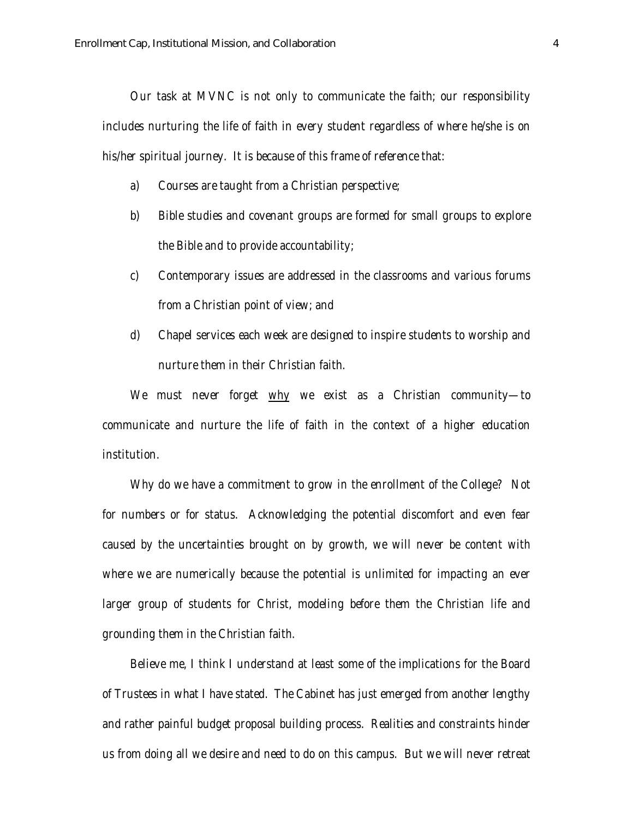*Our task at MVNC is not only to communicate the faith; our responsibility includes nurturing the life of faith in every student regardless of where he/she is on his/her spiritual journey. It is because of this frame of reference that:*

- *a) Courses are taught from a Christian perspective;*
- *b) Bible studies and covenant groups are formed for small groups to explore the Bible and to provide accountability;*
- *c) Contemporary issues are addressed in the classrooms and various forums from a Christian point of view; and*
- *d) Chapel services each week are designed to inspire students to worship and nurture them in their Christian faith.*

*We must never forget why we exist as a Christian community—to communicate and nurture the life of faith in the context of a higher education institution.*

*Why do we have a commitment to grow in the enrollment of the College? Not for numbers or for status. Acknowledging the potential discomfort and even fear caused by the uncertainties brought on by growth, we will never be content with where we are numerically because the potential is unlimited for impacting an ever larger group of students for Christ, modeling before them the Christian life and grounding them in the Christian faith.*

*Believe me, I think I understand at least some of the implications for the Board of Trustees in what I have stated. The Cabinet has just emerged from another lengthy and rather painful budget proposal building process. Realities and constraints hinder us from doing all we desire and need to do on this campus. But we will never retreat*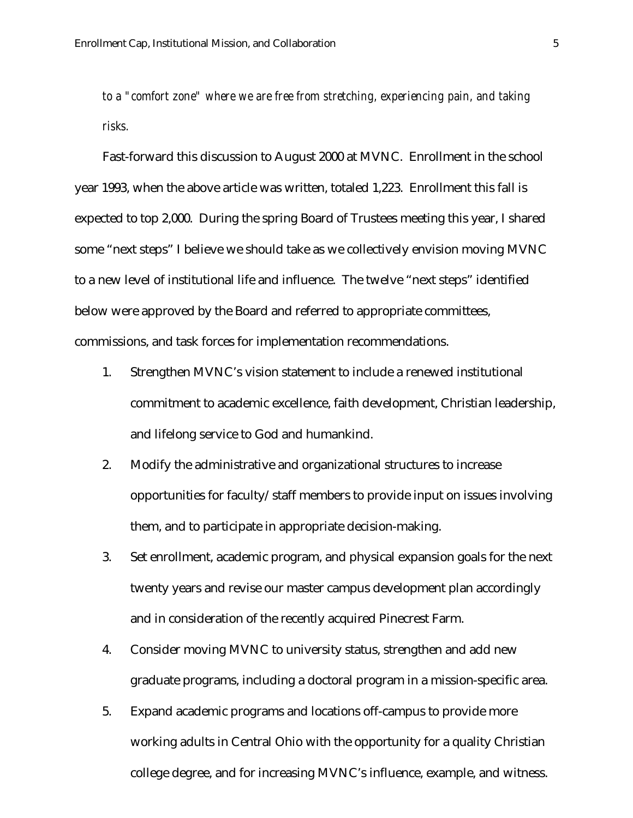*to a "comfort zone" where we are free from stretching, experiencing pain, and taking risks.*

Fast-forward this discussion to August 2000 at MVNC. Enrollment in the school year 1993, when the above article was written, totaled 1,223. Enrollment this fall is expected to top 2,000. During the spring Board of Trustees meeting this year, I shared some "next steps" I believe we should take as we collectively envision moving MVNC to a new level of institutional life and influence. The twelve "next steps" identified below were approved by the Board and referred to appropriate committees, commissions, and task forces for implementation recommendations.

- 1. Strengthen MVNC's vision statement to include a renewed institutional commitment to academic excellence, faith development, Christian leadership, and lifelong service to God and humankind.
- 2. Modify the administrative and organizational structures to increase opportunities for faculty/staff members to provide input on issues involving them, and to participate in appropriate decision-making.
- 3. Set enrollment, academic program, and physical expansion goals for the next twenty years and revise our master campus development plan accordingly and in consideration of the recently acquired Pinecrest Farm.
- 4. Consider moving MVNC to university status, strengthen and add new graduate programs, including a doctoral program in a mission-specific area.
- 5. Expand academic programs and locations off-campus to provide more working adults in Central Ohio with the opportunity for a quality Christian college degree, and for increasing MVNC's influence, example, and witness.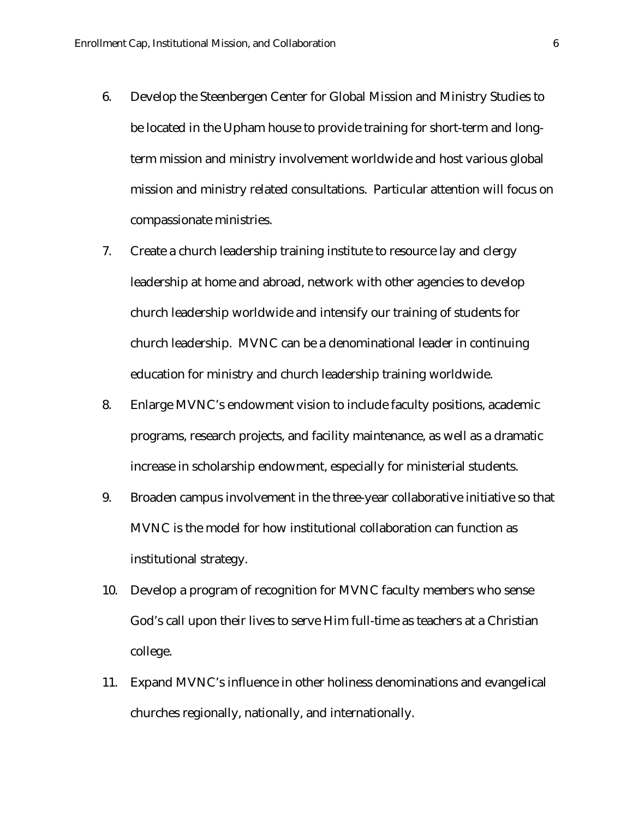- 6. Develop the Steenbergen Center for Global Mission and Ministry Studies to be located in the Upham house to provide training for short-term and longterm mission and ministry involvement worldwide and host various global mission and ministry related consultations. Particular attention will focus on compassionate ministries.
- 7. Create a church leadership training institute to resource lay and clergy leadership at home and abroad, network with other agencies to develop church leadership worldwide and intensify our training of students for church leadership. MVNC can be a denominational leader in continuing education for ministry and church leadership training worldwide.
- 8. Enlarge MVNC's endowment vision to include faculty positions, academic programs, research projects, and facility maintenance, as well as a dramatic increase in scholarship endowment, especially for ministerial students.
- 9. Broaden campus involvement in the three-year collaborative initiative so that MVNC is the model for how institutional collaboration can function as institutional strategy.
- 10. Develop a program of recognition for MVNC faculty members who sense God's call upon their lives to serve Him full-time as teachers at a Christian college.
- 11. Expand MVNC's influence in other holiness denominations and evangelical churches regionally, nationally, and internationally.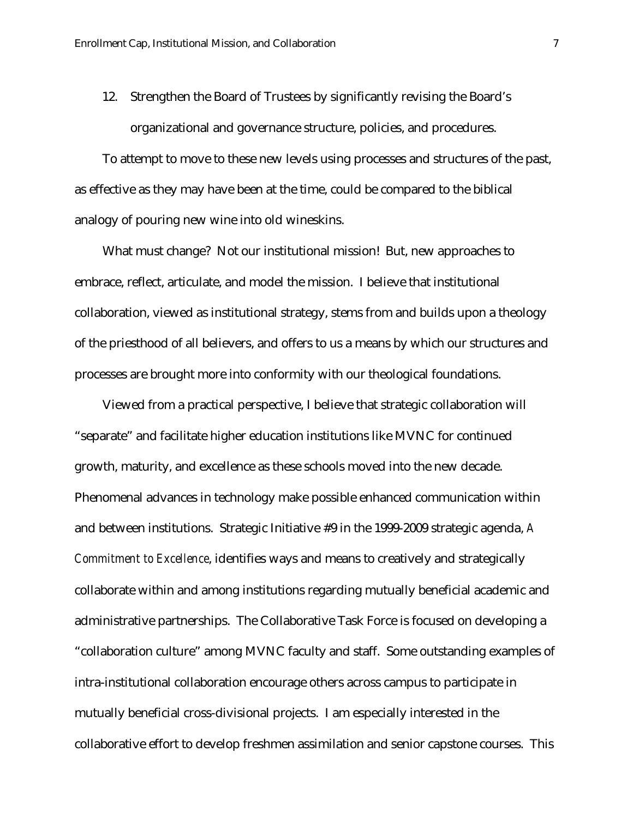12. Strengthen the Board of Trustees by significantly revising the Board's organizational and governance structure, policies, and procedures.

To attempt to move to these new levels using processes and structures of the past, as effective as they may have been at the time, could be compared to the biblical analogy of pouring new wine into old wineskins.

What must change? Not our institutional mission! But, new approaches to embrace, reflect, articulate, and model the mission. I believe that institutional collaboration, viewed as institutional strategy, stems from and builds upon a theology of the priesthood of all believers, and offers to us a means by which our structures and processes are brought more into conformity with our theological foundations.

Viewed from a practical perspective, I believe that strategic collaboration will "separate" and facilitate higher education institutions like MVNC for continued growth, maturity, and excellence as these schools moved into the new decade. Phenomenal advances in technology make possible enhanced communication within and between institutions. Strategic Initiative #9 in the 1999-2009 strategic agenda, *A Commitment to Excellence*, identifies ways and means to creatively and strategically collaborate within and among institutions regarding mutually beneficial academic and administrative partnerships. The Collaborative Task Force is focused on developing a "collaboration culture" among MVNC faculty and staff. Some outstanding examples of intra-institutional collaboration encourage others across campus to participate in mutually beneficial cross-divisional projects. I am especially interested in the collaborative effort to develop freshmen assimilation and senior capstone courses. This